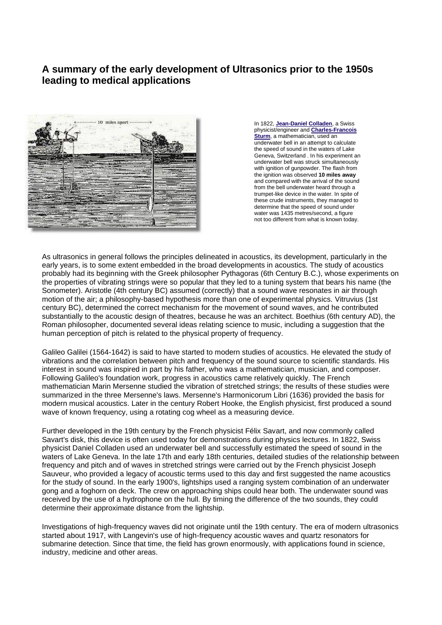## **A summary of the early development of Ultrasonics prior to the 1950s leading to medical applications**



In 1822, **[Jean-Daniel Colladen](http://www.ville-ge.ch/fr/decouvrir/pdf/hc43-46.pdf)**, a Swiss physicist/engineer and **[Charles-Francois](http://www-groups.dcs.st-and.ac.uk/~history/Mathematicians/Sturm.html)  [Sturm](http://www-groups.dcs.st-and.ac.uk/~history/Mathematicians/Sturm.html)**, a mathematician, used an underwater bell in an attempt to calculate the speed of sound in the waters of Lake Geneva, Switzerland . In his experiment an underwater bell was struck simultaneously with ignition of gunpowder. The flash from the ignition was observed **10 miles away** and compared with the arrival of the sound from the bell underwater heard through a trumpet-like device in the water. In spite of these crude instruments, they managed to determine that the speed of sound under water was 1435 metres/second, a figure not too different from what is known today.

As ultrasonics in general follows the principles delineated in acoustics, its development, particularly in the early years, is to some extent embedded in the broad developments in acoustics. The study of acoustics probably had its beginning with the Greek philosopher Pythagoras (6th Century B.C.), whose experiments on the properties of vibrating strings were so popular that they led to a tuning system that bears his name (the Sonometer). Aristotle (4th century BC) assumed (correctly) that a sound wave resonates in air through motion of the air; a philosophy-based hypothesis more than one of experimental physics. Vitruvius (1st century BC), determined the correct mechanism for the movement of sound waves, and he contributed substantially to the acoustic design of theatres, because he was an architect. Boethius (6th century AD), the Roman philosopher, documented several ideas relating science to music, including a suggestion that the human perception of pitch is related to the physical property of frequency.

Galileo Galilei (1564-1642) is said to have started to modern studies of acoustics. He elevated the study of vibrations and the correlation between pitch and frequency of the sound source to scientific standards. His interest in sound was inspired in part by his father, who was a mathematician, musician, and composer. Following Galileo's foundation work, progress in acoustics came relatively quickly. The French mathematician Marin Mersenne studied the vibration of stretched strings; the results of these studies were summarized in the three Mersenne's laws. Mersenne's Harmonicorum Libri (1636) provided the basis for modern musical acoustics. Later in the century Robert Hooke, the English physicist, first produced a sound wave of known frequency, using a rotating cog wheel as a measuring device.

Further developed in the 19th century by the French physicist Félix Savart, and now commonly called Savart's disk, this device is often used today for demonstrations during physics lectures. In 1822, Swiss physicist Daniel Colladen used an underwater bell and successfully estimated the speed of sound in the waters of Lake Geneva. In the late 17th and early 18th centuries, detailed studies of the relationship between frequency and pitch and of waves in stretched strings were carried out by the French physicist Joseph Sauveur, who provided a legacy of acoustic terms used to this day and first suggested the name acoustics for the study of sound. In the early 1900's, lightships used a ranging system combination of an underwater gong and a foghorn on deck. The crew on approaching ships could hear both. The underwater sound was received by the use of a hydrophone on the hull. By timing the difference of the two sounds, they could determine their approximate distance from the lightship.

Investigations of high-frequency waves did not originate until the 19th century. The era of modern ultrasonics started about 1917, with Langevin's use of high-frequency acoustic waves and quartz resonators for submarine detection. Since that time, the field has grown enormously, with applications found in science, industry, medicine and other areas.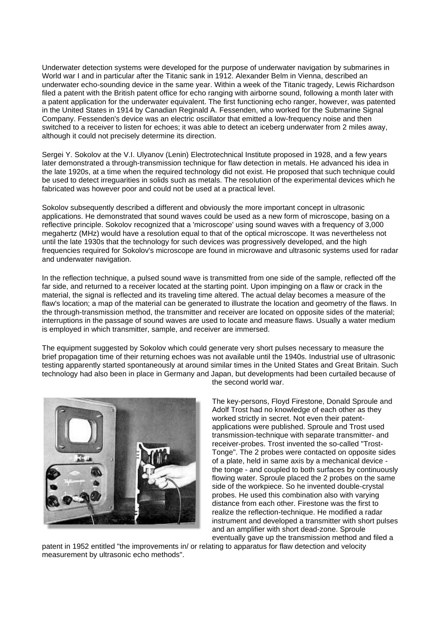Underwater detection systems were developed for the purpose of underwater navigation by submarines in World war I and in particular after the Titanic sank in 1912. Alexander Belm in Vienna, described an underwater echo-sounding device in the same year. Within a week of the Titanic tragedy, Lewis Richardson filed a patent with the British patent office for echo ranging with airborne sound, following a month later with a patent application for the underwater equivalent. The first functioning echo ranger, however, was patented in the United States in 1914 by Canadian Reginald A. Fessenden, who worked for the Submarine Signal Company. Fessenden's device was an electric oscillator that emitted a low-frequency noise and then switched to a receiver to listen for echoes; it was able to detect an iceberg underwater from 2 miles away, although it could not precisely determine its direction.

Sergei Y. Sokolov at the V.I. Ulyanov (Lenin) Electrotechnical Institute proposed in 1928, and a few years later demonstrated a through-transmission technique for flaw detection in metals. He advanced his idea in the late 1920s, at a time when the required technology did not exist. He proposed that such technique could be used to detect irreguarities in solids such as metals. The resolution of the experimental devices which he fabricated was however poor and could not be used at a practical level.

Sokolov subsequently described a different and obviously the more important concept in ultrasonic applications. He demonstrated that sound waves could be used as a new form of microscope, basing on a reflective principle. Sokolov recognized that a 'microscope' using sound waves with a frequency of 3,000 megahertz (MHz) would have a resolution equal to that of the optical microscope. It was nevertheless not until the late 1930s that the technology for such devices was progressively developed, and the high frequencies required for Sokolov's microscope are found in microwave and ultrasonic systems used for radar and underwater navigation.

In the reflection technique, a pulsed sound wave is transmitted from one side of the sample, reflected off the far side, and returned to a receiver located at the starting point. Upon impinging on a flaw or crack in the material, the signal is reflected and its traveling time altered. The actual delay becomes a measure of the flaw's location; a map of the material can be generated to illustrate the location and geometry of the flaws. In the through-transmission method, the transmitter and receiver are located on opposite sides of the material; interruptions in the passage of sound waves are used to locate and measure flaws. Usually a water medium is employed in which transmitter, sample, and receiver are immersed.

The equipment suggested by Sokolov which could generate very short pulses necessary to measure the brief propagation time of their returning echoes was not available until the 1940s. Industrial use of ultrasonic testing apparently started spontaneously at around similar times in the United States and Great Britain. Such technology had also been in place in Germany and Japan, but developments had been curtailed because of



the second world war.

The key-persons, Floyd Firestone, Donald Sproule and Adolf Trost had no knowledge of each other as they worked strictly in secret. Not even their patentapplications were published. Sproule and Trost used transmission-technique with separate transmitter- and receiver-probes. Trost invented the so-called "Trost-Tonge". The 2 probes were contacted on opposite sides of a plate, held in same axis by a mechanical device the tonge - and coupled to both surfaces by continuously flowing water. Sproule placed the 2 probes on the same side of the workpiece. So he invented double-crystal probes. He used this combination also with varying distance from each other. Firestone was the first to realize the reflection-technique. He modified a radar instrument and developed a transmitter with short pulses and an amplifier with short dead-zone. Sproule eventually gave up the transmission method and filed a

patent in 1952 entitled "the improvements in/ or relating to apparatus for flaw detection and velocity measurement by ultrasonic echo methods".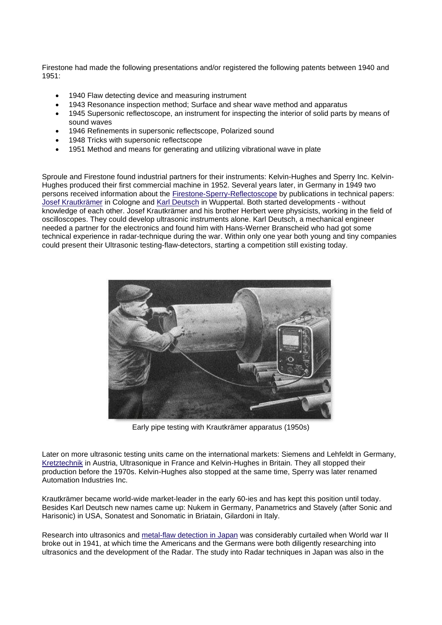Firestone had made the following presentations and/or registered the following patents between 1940 and 1951:

- 1940 Flaw detecting device and measuring instrument
- 1943 Resonance inspection method; Surface and shear wave method and apparatus
- 1945 Supersonic reflectoscope, an instrument for inspecting the interior of solid parts by means of sound waves
- 1946 Refinements in supersonic reflectscope, Polarized sound
- 1948 Tricks with supersonic reflectscope
- 1951 Method and means for generating and utilizing vibrational wave in plate

Sproule and Firestone found industrial partners for their instruments: Kelvin-Hughes and Sperry Inc. Kelvin-Hughes produced their first commercial machine in 1952. Several years later, in Germany in 1949 two persons received information about the [Firestone-Sperry-Reflectoscope](http://www.ob-ultrasound.net/sperry.html) by publications in technical papers: [Josef Krautkrämer](http://www.krautkramer.com/company/company.htm) in Cologne and [Karl Deutsch](http://www.karldeutsch.de/history.htm) in Wuppertal. Both started developments - without knowledge of each other. Josef Krautkrämer and his brother Herbert were physicists, working in the field of oscilloscopes. They could develop ultrasonic instruments alone. Karl Deutsch, a mechanical engineer needed a partner for the electronics and found him with Hans-Werner Branscheid who had got some technical experience in radar-technique during the war. Within only one year both young and tiny companies could present their Ultrasonic testing-flaw-detectors, starting a competition still existing today.



Early pipe testing with Krautkrämer apparatus (1950s)

Later on more ultrasonic testing units came on the international markets: Siemens and Lehfeldt in Germany, [Kretztechnik](http://www.ob-ultrasound.net/kretztechnik.html) in Austria, Ultrasonique in France and Kelvin-Hughes in Britain. They all stopped their production before the 1970s. Kelvin-Hughes also stopped at the same time, Sperry was later renamed Automation Industries Inc.

Krautkrämer became world-wide market-leader in the early 60-ies and has kept this position until today. Besides Karl Deutsch new names came up: Nukem in Germany, Panametrics and Stavely (after Sonic and Harisonic) in USA, Sonatest and Sonomatic in Briatain, Gilardoni in Italy.

Research into ultrasonics and [metal-flaw detection in Japan](http://www.ob-ultrasound.net/japan_ultrasonics.html) was considerably curtailed when World war II broke out in 1941, at which time the Americans and the Germans were both diligently researching into ultrasonics and the development of the Radar. The study into Radar techniques in Japan was also in the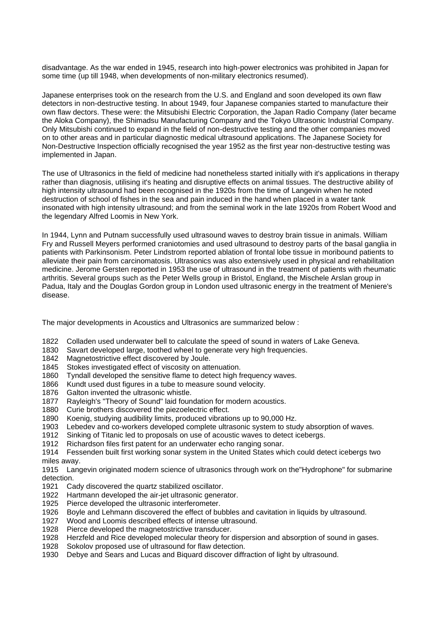disadvantage. As the war ended in 1945, research into high-power electronics was prohibited in Japan for some time (up till 1948, when developments of non-military electronics resumed).

Japanese enterprises took on the research from the U.S. and England and soon developed its own flaw detectors in non-destructive testing. In about 1949, four Japanese companies started to manufacture their own flaw dectors. These were: the Mitsubishi Electric Corporation, the Japan Radio Company (later became the Aloka Company), the Shimadsu Manufacturing Company and the Tokyo Ultrasonic Industrial Company. Only Mitsubishi continued to expand in the field of non-destructive testing and the other companies moved on to other areas and in particular diagnostic medical ultrasound applications. The Japanese Society for Non-Destructive Inspection officially recognised the year 1952 as the first year non-destructive testing was implemented in Japan.

The use of Ultrasonics in the field of medicine had nonetheless started initially with it's applications in therapy rather than diagnosis, utilising it's heating and disruptive effects on animal tissues. The destructive ability of high intensity ultrasound had been recognised in the 1920s from the time of Langevin when he noted destruction of school of fishes in the sea and pain induced in the hand when placed in a water tank insonated with high intensity ultrasound; and from the seminal work in the late 1920s from Robert Wood and the legendary Alfred Loomis in New York.

In 1944, Lynn and Putnam successfully used ultrasound waves to destroy brain tissue in animals. William Fry and Russell Meyers performed craniotomies and used ultrasound to destroy parts of the basal ganglia in patients with Parkinsonism. Peter Lindstrom reported ablation of frontal lobe tissue in moribound patients to alleviate their pain from carcinomatosis. Ultrasonics was also extensively used in physical and rehabilitation medicine. Jerome Gersten reported in 1953 the use of ultrasound in the treatment of patients with rheumatic arthritis. Several groups such as the Peter Wells group in Bristol, England, the Mischele Arslan group in Padua, Italy and the Douglas Gordon group in London used ultrasonic energy in the treatment of Meniere's disease.

The major developments in Acoustics and Ultrasonics are summarized below :

- 1822 Colladen used underwater bell to calculate the speed of sound in waters of Lake Geneva.
- 1830 Savart developed large, toothed wheel to generate very high frequencies.
- 1842 Magnetostrictive effect discovered by Joule.
- 1845 Stokes investigated effect of viscosity on attenuation.
- 1860 Tyndall developed the sensitive flame to detect high frequency waves.
- 1866 Kundt used dust figures in a tube to measure sound velocity.
- 1876 Galton invented the ultrasonic whistle.
- 1877 Rayleigh's "Theory of Sound" laid foundation for modern acoustics.
- 1880 Curie brothers discovered the piezoelectric effect.
- 1890 Koenig, studying audibility limits, produced vibrations up to 90,000 Hz.
- 1903 Lebedev and co-workers developed complete ultrasonic system to study absorption of waves.
- 1912 Sinking of Titanic led to proposals on use of acoustic waves to detect icebergs.
- 1912 Richardson files first patent for an underwater echo ranging sonar.

1914 Fessenden built first working sonar system in the United States which could detect icebergs two miles away.

1915 Langevin originated modern science of ultrasonics through work on the"Hydrophone" for submarine detection.

- 1921 Cady discovered the quartz stabilized oscillator.
- 1922 Hartmann developed the air-jet ultrasonic generator.
- 1925 Pierce developed the ultrasonic interferometer.
- 1926 Boyle and Lehmann discovered the effect of bubbles and cavitation in liquids by ultrasound.
- 1927 Wood and Loomis described effects of intense ultrasound.
- 1928 Pierce developed the magnetostrictive transducer.
- 1928 Herzfeld and Rice developed molecular theory for dispersion and absorption of sound in gases.
- 1928 Sokolov proposed use of ultrasound for flaw detection.
- 1930 Debye and Sears and Lucas and Biquard discover diffraction of light by ultrasound.